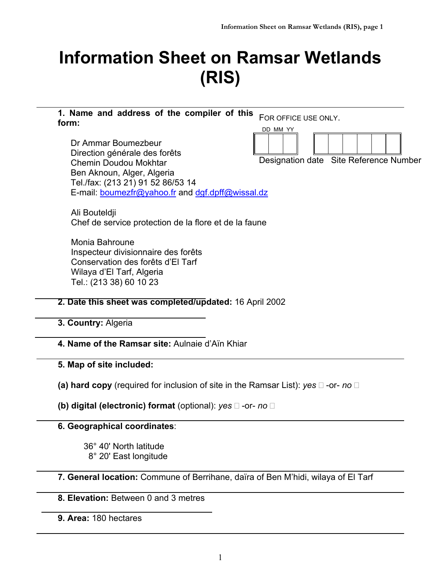# **Information Sheet on Ramsar Wetlands (RIS)**

**1. Name and address of the compiler of this form:** FOR OFFICE USE ONLY. DD MM YY

Dr Ammar Boumezbeur Direction générale des forêts Chemin Doudou Mokhtar Ben Aknoun, Alger, Algeria Tel./fax: (213 21) 91 52 86/53 14 E-mail: boumezfr@yahoo.fr and dgf.dpff@wissal.dz Designation date Site Reference Number

Ali Bouteldji Chef de service protection de la flore et de la faune

Monia Bahroune Inspecteur divisionnaire des forêts Conservation des forêts d'El Tarf Wilaya d'El Tarf, Algeria Tel.: (213 38) 60 10 23

## **2. Date this sheet was completed/updated:** 16 April 2002

**3. Country:** Algeria

**4. Name of the Ramsar site:** Aulnaie d'Aïn Khiar

**5. Map of site included:**

**(a) hard copy** (required for inclusion of site in the Ramsar List): *yes*  $\Box$  -or- *no*  $\Box$ 

**(b) digital (electronic) format** (optional): *yes*  $\Box$  -or- *no*  $\Box$ 

## **6. Geographical coordinates**:

36° 40' North latitude 8° 20' East longitude

**7. General location:** Commune of Berrihane, daïra of Ben M'hidi, wilaya of El Tarf

**8. Elevation:** Between 0 and 3 metres

**9. Area:** 180 hectares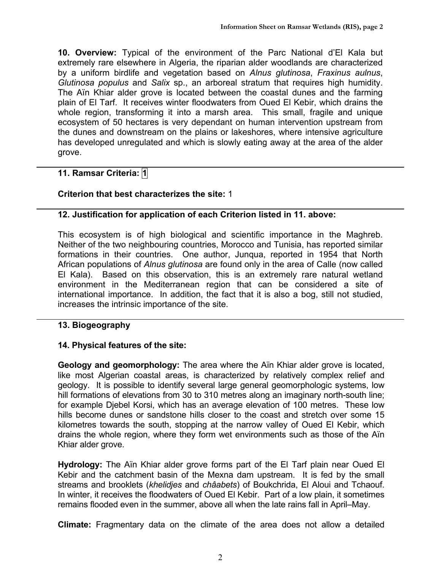**10. Overview:** Typical of the environment of the Parc National d'El Kala but extremely rare elsewhere in Algeria, the riparian alder woodlands are characterized by a uniform birdlife and vegetation based on *Alnus glutinosa*, *Fraxinus aulnus*, *Glutinosa populus* and *Salix* sp., an arboreal stratum that requires high humidity. The Aïn Khiar alder grove is located between the coastal dunes and the farming plain of El Tarf. It receives winter floodwaters from Oued El Kebir, which drains the whole region, transforming it into a marsh area. This small, fragile and unique ecosystem of 50 hectares is very dependant on human intervention upstream from the dunes and downstream on the plains or lakeshores, where intensive agriculture has developed unregulated and which is slowly eating away at the area of the alder grove.

## **11. Ramsar Criteria: 1**

## **Criterion that best characterizes the site:** 1

## **12. Justification for application of each Criterion listed in 11. above:**

This ecosystem is of high biological and scientific importance in the Maghreb. Neither of the two neighbouring countries, Morocco and Tunisia, has reported similar formations in their countries. One author, Junqua, reported in 1954 that North African populations of *Alnus glutinosa* are found only in the area of Calle (now called El Kala). Based on this observation, this is an extremely rare natural wetland environment in the Mediterranean region that can be considered a site of international importance. In addition, the fact that it is also a bog, still not studied, increases the intrinsic importance of the site.

#### **13. Biogeography**

#### **14. Physical features of the site:**

**Geology and geomorphology:** The area where the Aïn Khiar alder grove is located, like most Algerian coastal areas, is characterized by relatively complex relief and geology. It is possible to identify several large general geomorphologic systems, low hill formations of elevations from 30 to 310 metres along an imaginary north-south line; for example Djebel Korsi, which has an average elevation of 100 metres. These low hills become dunes or sandstone hills closer to the coast and stretch over some 15 kilometres towards the south, stopping at the narrow valley of Oued El Kebir, which drains the whole region, where they form wet environments such as those of the Aïn Khiar alder grove.

**Hydrology:** The Aïn Khiar alder grove forms part of the El Tarf plain near Oued El Kebir and the catchment basin of the Mexna dam upstream. It is fed by the small streams and brooklets (*khelidjes* and *châabets*) of Boukchrida, El Aloui and Tchaouf. In winter, it receives the floodwaters of Oued El Kebir. Part of a low plain, it sometimes remains flooded even in the summer, above all when the late rains fall in April–May.

**Climate:** Fragmentary data on the climate of the area does not allow a detailed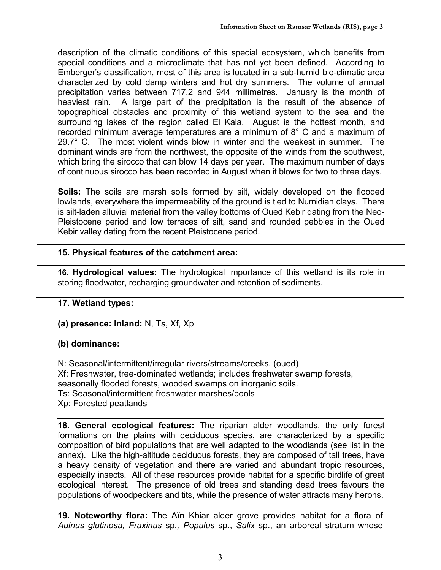description of the climatic conditions of this special ecosystem, which benefits from special conditions and a microclimate that has not yet been defined. According to Emberger's classification, most of this area is located in a sub-humid bio-climatic area characterized by cold damp winters and hot dry summers. The volume of annual precipitation varies between 717.2 and 944 millimetres. January is the month of heaviest rain. A large part of the precipitation is the result of the absence of topographical obstacles and proximity of this wetland system to the sea and the surrounding lakes of the region called El Kala. August is the hottest month, and recorded minimum average temperatures are a minimum of 8° C and a maximum of 29.7° C. The most violent winds blow in winter and the weakest in summer. The dominant winds are from the northwest, the opposite of the winds from the southwest, which bring the sirocco that can blow 14 days per year. The maximum number of days of continuous sirocco has been recorded in August when it blows for two to three days.

**Soils:** The soils are marsh soils formed by silt, widely developed on the flooded lowlands, everywhere the impermeability of the ground is tied to Numidian clays. There is silt-laden alluvial material from the valley bottoms of Oued Kebir dating from the Neo-Pleistocene period and low terraces of silt, sand and rounded pebbles in the Oued Kebir valley dating from the recent Pleistocene period.

## **15. Physical features of the catchment area:**

**16. Hydrological values:** The hydrological importance of this wetland is its role in storing floodwater, recharging groundwater and retention of sediments.

## **17. Wetland types:**

**(a) presence: Inland:** N, Ts, Xf, Xp

## **(b) dominance:**

N: Seasonal/intermittent/irregular rivers/streams/creeks. (oued) Xf: Freshwater, tree-dominated wetlands; includes freshwater swamp forests, seasonally flooded forests, wooded swamps on inorganic soils. Ts: Seasonal/intermittent freshwater marshes/pools Xp: Forested peatlands

**18. General ecological features:** The riparian alder woodlands, the only forest formations on the plains with deciduous species, are characterized by a specific composition of bird populations that are well adapted to the woodlands (see list in the annex). Like the high-altitude deciduous forests, they are composed of tall trees, have a heavy density of vegetation and there are varied and abundant tropic resources, especially insects. All of these resources provide habitat for a specific birdlife of great ecological interest. The presence of old trees and standing dead trees favours the populations of woodpeckers and tits, while the presence of water attracts many herons.

**19. Noteworthy flora:** The Aïn Khiar alder grove provides habitat for a flora of *Aulnus glutinosa, Fraxinus* sp*., Populus* sp., *Salix* sp., an arboreal stratum whose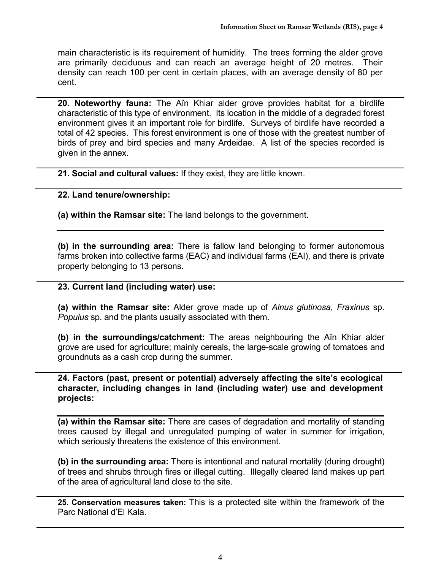main characteristic is its requirement of humidity. The trees forming the alder grove are primarily deciduous and can reach an average height of 20 metres. Their density can reach 100 per cent in certain places, with an average density of 80 per cent.

**20. Noteworthy fauna:** The Aïn Khiar alder grove provides habitat for a birdlife characteristic of this type of environment. Its location in the middle of a degraded forest environment gives it an important role for birdlife. Surveys of birdlife have recorded a total of 42 species. This forest environment is one of those with the greatest number of birds of prey and bird species and many Ardeidae. A list of the species recorded is given in the annex.

**21. Social and cultural values:** If they exist, they are little known.

#### **22. Land tenure/ownership:**

**(a) within the Ramsar site:** The land belongs to the government.

**(b) in the surrounding area:** There is fallow land belonging to former autonomous farms broken into collective farms (EAC) and individual farms (EAI), and there is private property belonging to 13 persons.

#### **23. Current land (including water) use:**

**(a) within the Ramsar site:** Alder grove made up of *Alnus glutinosa*, *Fraxinus* sp. *Populus* sp. and the plants usually associated with them.

**(b) in the surroundings/catchment:** The areas neighbouring the Aïn Khiar alder grove are used for agriculture; mainly cereals, the large-scale growing of tomatoes and groundnuts as a cash crop during the summer.

**24. Factors (past, present or potential) adversely affecting the site's ecological character, including changes in land (including water) use and development projects:**

**(a) within the Ramsar site:** There are cases of degradation and mortality of standing trees caused by illegal and unregulated pumping of water in summer for irrigation, which seriously threatens the existence of this environment.

**(b) in the surrounding area:** There is intentional and natural mortality (during drought) of trees and shrubs through fires or illegal cutting. Illegally cleared land makes up part of the area of agricultural land close to the site.

**25. Conservation measures taken:** This is a protected site within the framework of the Parc National d'El Kala.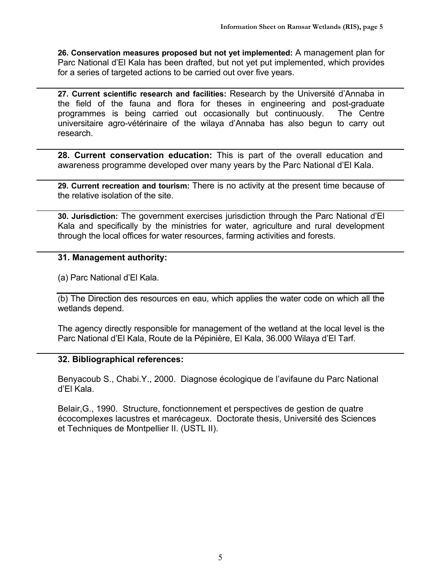**26. Conservation measures proposed but not yet implemented:** A management plan for Parc National d'El Kala has been drafted, but not yet put implemented, which provides for a series of targeted actions to be carried out over five years.

**27. Current scientific research and facilities:** Research by the Université d'Annaba in the field of the fauna and flora for theses in engineering and post-graduate programmes is being carried out occasionally but continuously. The Centre universitaire agro-vétérinaire of the wilaya d'Annaba has also begun to carry out research.

**28. Current conservation education:** This is part of the overall education and awareness programme developed over many years by the Parc National d'El Kala.

**29. Current recreation and tourism:** There is no activity at the present time because of the relative isolation of the site.

**30. Jurisdiction:** The government exercises jurisdiction through the Parc National d'El Kala and specifically by the ministries for water, agriculture and rural development through the local offices for water resources, farming activities and forests.

#### **31. Management authority:**

(a) Parc National d'El Kala.

(b) The Direction des resources en eau, which applies the water code on which all the wetlands depend.

The agency directly responsible for management of the wetland at the local level is the Parc National d'El Kala, Route de la Pépinière, El Kala, 36.000 Wilaya d'El Tarf.

#### **32. Bibliographical references:**

Benyacoub S., Chabi.Y., 2000. Diagnose écologique de l'avifaune du Parc National d'El Kala.

Belair,G., 1990. Structure, fonctionnement et perspectives de gestion de quatre écocomplexes lacustres et marécageux. Doctorate thesis, Université des Sciences et Techniques de Montpellier II. (USTL II).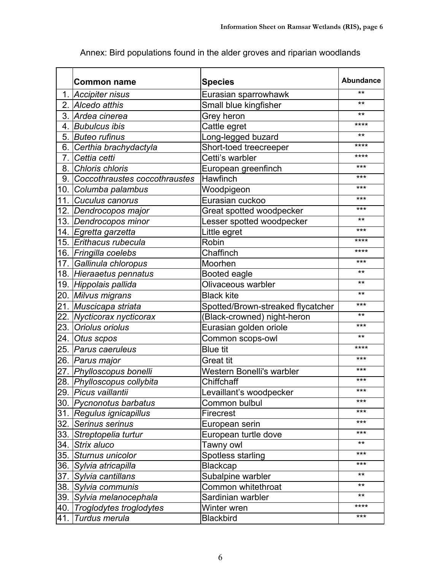|     | <b>Common name</b>            | <b>Species</b>                    | <b>Abundance</b> |
|-----|-------------------------------|-----------------------------------|------------------|
|     | 1. Accipiter nisus            | Eurasian sparrowhawk              | $**$             |
|     | 2. Alcedo atthis              | Small blue kingfisher             | $***$            |
|     | 3. Ardea cinerea              | Grey heron                        | $***$            |
|     | 4. Bubulcus ibis              | Cattle egret                      | ****             |
|     | 5. Buteo rufinus              | Long-legged buzard                | $**$             |
|     | 6. Certhia brachydactyla      | Short-toed treecreeper            | ****             |
| 7.  | Cettia cetti                  | Cetti's warbler                   | ****             |
|     | 8. Chloris chloris            | European greenfinch               | ***              |
| 9.1 | Coccothraustes coccothraustes | Hawfinch                          | ***              |
|     | 10. Columba palambus          | Woodpigeon                        | ***              |
|     | 11. Cuculus canorus           | Eurasian cuckoo                   | ***              |
|     | 12. Dendrocopos major         | Great spotted woodpecker          | ***              |
|     | 13. Dendrocopos minor         | Lesser spotted woodpecker         | $***$            |
|     | 14. Egretta garzetta          | Little egret                      | ***              |
|     | 15. Erithacus rubecula        | Robin                             | ****             |
|     | 16. Fringilla coelebs         | Chaffinch                         | ****             |
|     | 17. Gallinula chloropus       | Moorhen                           | ***              |
|     | 18. Hieraaetus pennatus       | Booted eagle                      | $***$            |
|     | 19. Hippolais pallida         | Olivaceous warbler                | $***$            |
|     | 20. Milvus migrans            | <b>Black kite</b>                 | $***$            |
|     | 21. Muscicapa striata         | Spotted/Brown-streaked flycatcher | ***              |
|     | 22. Nycticorax nycticorax     | (Black-crowned) night-heron       | $***$            |
|     | 23. Oriolus oriolus           | Eurasian golden oriole            | ***              |
|     | 24. Otus scpos                | Common scops-owl                  | $***$            |
|     | 25. <i>Parus caeruleus</i>    | <b>Blue tit</b>                   | ****             |
|     | 26. Parus major               | <b>Great tit</b>                  | ***              |
|     | 27. Phylloscopus bonelli      | Western Bonelli's warbler         | ***              |
|     | 28. Phylloscopus collybita    | Chiffchaff                        | ***              |
|     | 29. Picus vaillantii          | Levaillant's woodpecker           | ***              |
|     | 30. Pycnonotus barbatus       | Common bulbul                     | ***              |
|     | 31. Regulus ignicapillus      | Firecrest                         | ***              |
| 32. | Serinus serinus               | European serin                    | ***              |
| 33. | Streptopelia turtur           | European turtle dove              | ***              |
|     | 34.  Strix aluco              | Tawny owl                         | $***$            |
|     | 35. Sturnus unicolor          | Spotless starling                 | ***              |
|     | 36.  Sylvia atricapilla       | <b>Blackcap</b>                   | ***              |
|     | 37. Sylvia cantillans         | Subalpine warbler                 | $**$             |
|     | 38. Sylvia communis           | Common whitethroat                | $***$            |
|     | 39. Sylvia melanocephala      | Sardinian warbler                 | $**$             |
| 40. | Troglodytes troglodytes       | Winter wren                       | ****             |
| 41. | Turdus merula                 | <b>Blackbird</b>                  | $***$            |

Annex: Bird populations found in the alder groves and riparian woodlands